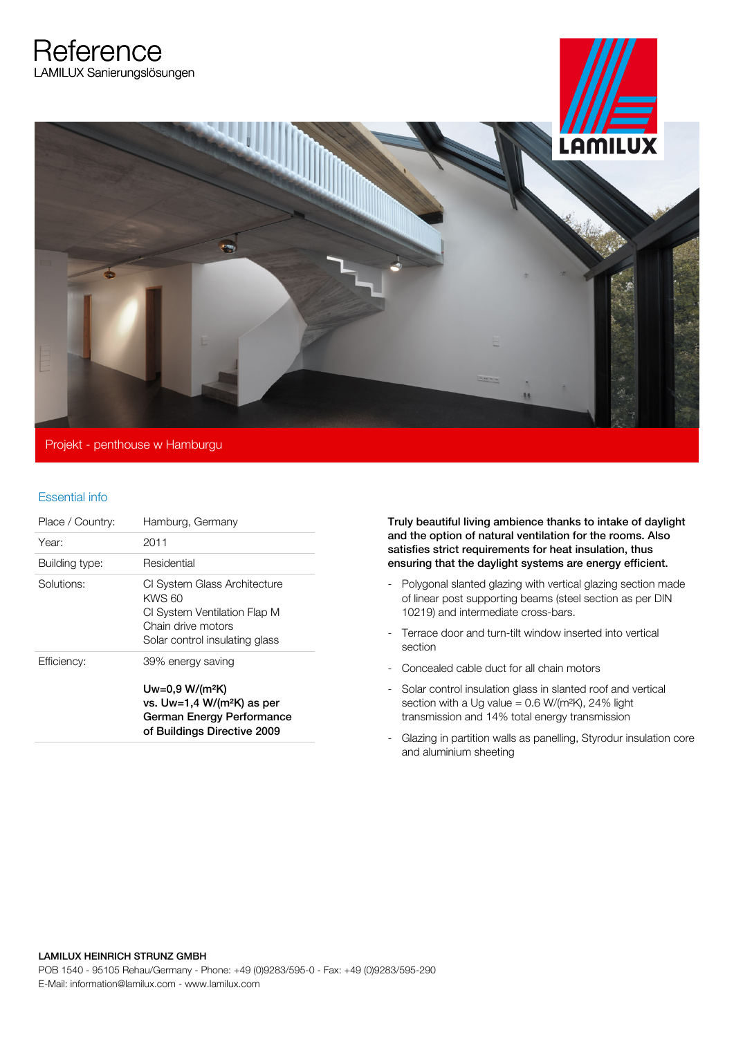



Projekt - penthouse w Hamburgu

## Essential info

| Place / Country: | Hamburg, Germany                                                                                                                             |
|------------------|----------------------------------------------------------------------------------------------------------------------------------------------|
| Year:            | 2011                                                                                                                                         |
| Building type:   | Residential                                                                                                                                  |
| Solutions:       | CI System Glass Architecture<br>KWS 60<br>CI System Ventilation Flap M<br>Chain drive motors<br>Solar control insulating glass               |
| Efficiency:      | 39% energy saving<br>$Uw=0,9 W/(m^2K)$<br>vs. Uw=1,4 W/(m <sup>2</sup> K) as per<br>German Energy Performance<br>of Buildings Directive 2009 |

Truly beautiful living ambience thanks to intake of daylight and the option of natural ventilation for the rooms. Also satisfies strict requirements for heat insulation, thus ensuring that the daylight systems are energy efficient.

- Polygonal slanted glazing with vertical glazing section made of linear post supporting beams (steel section as per DIN 10219) and intermediate cross-bars.
- Terrace door and turn-tilt window inserted into vertical section
- Concealed cable duct for all chain motors
- Solar control insulation glass in slanted roof and vertical section with a Ug value =  $0.6$  W/(m<sup>2</sup>K), 24% light transmission and 14% total energy transmission
- Glazing in partition walls as panelling, Styrodur insulation core and aluminium sheeting